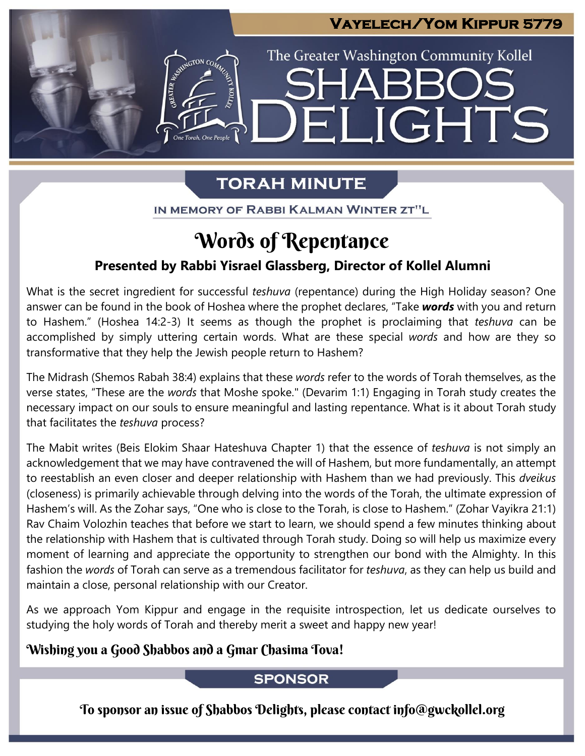### **Vayelech/Yom Kippur 5779**

LIGHTS

The Greater Washington Community Kollel

## **TORAH MINUTE**

EI

IN MEMORY OF RABBI KALMAN WINTER ZT"L

## Words of Repentance

### **Presented by Rabbi Yisrael Glassberg, Director of Kollel Alumni**

What is the secret ingredient for successful *teshuva* (repentance) during the High Holiday season? One answer can be found in the book of Hoshea where the prophet declares, "Take *words* with you and return to Hashem." (Hoshea 14:2-3) It seems as though the prophet is proclaiming that *teshuva* can be accomplished by simply uttering certain words. What are these special *words* and how are they so transformative that they help the Jewish people return to Hashem?

The Midrash (Shemos Rabah 38:4) explains that these *words* refer to the words of Torah themselves, as the verse states, "These are the *words* that Moshe spoke." (Devarim 1:1) Engaging in Torah study creates the necessary impact on our souls to ensure meaningful and lasting repentance. What is it about Torah study that facilitates the *teshuva* process?

The Mabit writes (Beis Elokim Shaar Hateshuva Chapter 1) that the essence of *teshuva* is not simply an acknowledgement that we may have contravened the will of Hashem, but more fundamentally, an attempt to reestablish an even closer and deeper relationship with Hashem than we had previously. This *dveikus* (closeness) is primarily achievable through delving into the words of the Torah, the ultimate expression of Hashem's will. As the Zohar says, "One who is close to the Torah, is close to Hashem." (Zohar Vayikra 21:1) Rav Chaim Volozhin teaches that before we start to learn, we should spend a few minutes thinking about the relationship with Hashem that is cultivated through Torah study. Doing so will help us maximize every moment of learning and appreciate the opportunity to strengthen our bond with the Almighty. In this fashion the *words* of Torah can serve as a tremendous facilitator for *teshuva*, as they can help us build and maintain a close, personal relationship with our Creator.

As we approach Yom Kippur and engage in the requisite introspection, let us dedicate ourselves to studying the holy words of Torah and thereby merit a sweet and happy new year!

### Wishing you a Good Shabbos and a Gmar Chasima Tova!

### **SPONSOR**

To sponsor an issue of Shabbos Delights, please contact info@gwckollel.org